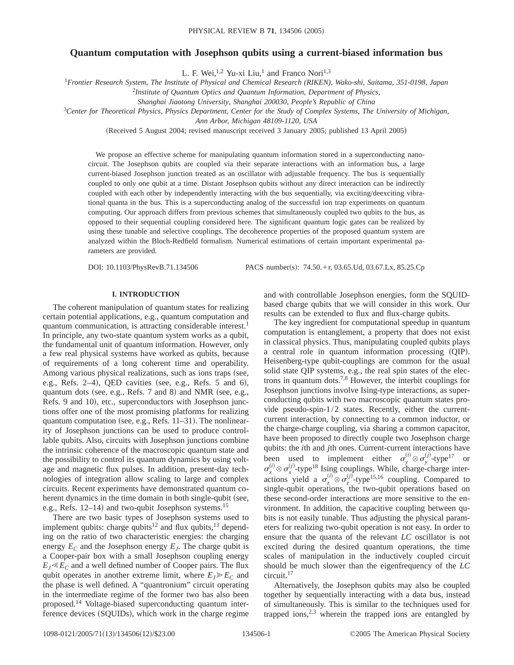# **Quantum computation with Josephson qubits using a current-biased information bus**

L. F. Wei,<sup>1,2</sup> Yu-xi Liu,<sup>1</sup> and Franco Nori<sup>1,3</sup>

<sup>1</sup>*Frontier Research System, The Institute of Physical and Chemical Research (RIKEN), Wako-shi, Saitama, 351-0198, Japan*

2 *Institute of Quantum Optics and Quantum Information, Department of Physics,*

*Shanghai Jiaotong University, Shanghai 200030, People's Republic of China*

<sup>3</sup>*Center for Theoretical Physics, Physics Department, Center for the Study of Complex Systems, The University of Michigan,*

*Ann Arbor, Michigan 48109-1120, USA*

(Received 5 August 2004; revised manuscript received 3 January 2005; published 13 April 2005)

We propose an effective scheme for manipulating quantum information stored in a superconducting nanocircuit. The Josephson qubits are coupled via their separate interactions with an information bus, a large current-biased Josephson junction treated as an oscillator with adjustable frequency. The bus is sequentially coupled to only one qubit at a time. Distant Josephson qubits without any direct interaction can be indirectly coupled with each other by independently interacting with the bus sequentially, via exciting/deexciting vibrational quanta in the bus. This is a superconducting analog of the successful ion trap experiments on quantum computing. Our approach differs from previous schemes that simultaneously coupled two qubits to the bus, as opposed to their sequential coupling considered here. The significant quantum logic gates can be realized by using these tunable and selective couplings. The decoherence properties of the proposed quantum system are analyzed within the Bloch-Redfield formalism. Numerical estimations of certain important experimental parameters are provided.

DOI: 10.1103/PhysRevB.71.134506 PACS number(s): 74.50.+r, 03.65.Ud, 03.67.Lx, 85.25.Cp

## **I. INTRODUCTION**

The coherent manipulation of quantum states for realizing certain potential applications, e.g., quantum computation and quantum communication, is attracting considerable interest.<sup>1</sup> In principle, any two-state quantum system works as a qubit, the fundamental unit of quantum information. However, only a few real physical systems have worked as qubits, because of requirements of a long coherent time and operability. Among various physical realizations, such as ions traps (see, e.g., Refs. 2–4), QED cavities (see, e.g., Refs. 5 and 6), quantum dots (see, e.g., Refs.  $7$  and  $8$ ) and NMR (see, e.g., Refs. 9 and 10), etc., superconductors with Josephson junctions offer one of the most promising platforms for realizing quantum computation (see, e.g., Refs.  $11-31$ ). The nonlinearity of Josephson junctions can be used to produce controllable qubits. Also, circuits with Josephson junctions combine the intrinsic coherence of the macroscopic quantum state and the possibility to control its quantum dynamics by using voltage and magnetic flux pulses. In addition, present-day technologies of integration allow scaling to large and complex circuits. Recent experiments have demonstrated quantum coherent dynamics in the time domain in both single-qubit (see, e.g., Refs.  $12-14$ ) and two-qubit Josephson systems.<sup>15</sup>

There are two basic types of Josephson systems used to implement qubits: charge qubits<sup>12</sup> and flux qubits,<sup>13</sup> depending on the ratio of two characteristic energies: the charging energy  $E_c$  and the Josephson energy  $E<sub>J</sub>$ . The charge qubit is a Cooper-pair box with a small Josephson coupling energy  $E_J \ll E_C$  and a well defined number of Cooper pairs. The flux qubit operates in another extreme limit, where  $E_J \ge E_C$  and the phase is well defined. A "quantronium" circuit operating in the intermediate regime of the former two has also been proposed.14 Voltage-biased superconducting quantum interference devices (SQUIDs), which work in the charge regime and with controllable Josephson energies, form the SQUIDbased charge qubits that we will consider in this work. Our results can be extended to flux and flux-charge qubits.

The key ingredient for computational speedup in quantum computation is entanglement, a property that does not exist in classical physics. Thus, manipulating coupled qubits plays a central role in quantum information processing (QIP). Heisenberg-type qubit-couplings are common for the usual solid state QIP systems, e.g., the real spin states of the electrons in quantum dots.<sup>7,8</sup> However, the interbit couplings for Josephson junctions involve Ising-type interactions, as superconducting qubits with two macroscopic quantum states provide pseudo-spin-1/2 states. Recently, either the currentcurrent interaction, by connecting to a common inductor, or the charge-charge coupling, via sharing a common capacitor, have been proposed to directly couple two Josephson charge qubits: the *i*th and *j*th ones. Current-current interactions have been used to implement either  $\sigma_y^{(i)} \otimes \sigma_y^{(j)}$ -type<sup>17</sup> or  $\sigma_x^{(i)} \otimes \sigma_x^{(j)}$ -type<sup>18</sup> Ising couplings. While, charge-charge interactions yield a  $\sigma_z^{(i)} \otimes \sigma_z^{(j)}$ -type<sup>15,16</sup> coupling. Compared to single-qubit operations, the two-qubit operations based on these second-order interactions are more sensitive to the environment. In addition, the capacitive coupling between qubits is not easily tunable. Thus adjusting the physical parameters for realizing two-qubit operation is not easy. In order to ensure that the quanta of the relevant *LC* oscillator is not excited during the desired quantum operations, the time scales of manipulation in the inductively coupled circuit should be much slower than the eigenfrequency of the *LC* circuit. $17$ 

Alternatively, the Josephson qubits may also be coupled together by sequentially interacting with a data bus, instead of simultaneously. This is similar to the techniques used for trapped ions, $2,3$  wherein the trapped ions are entangled by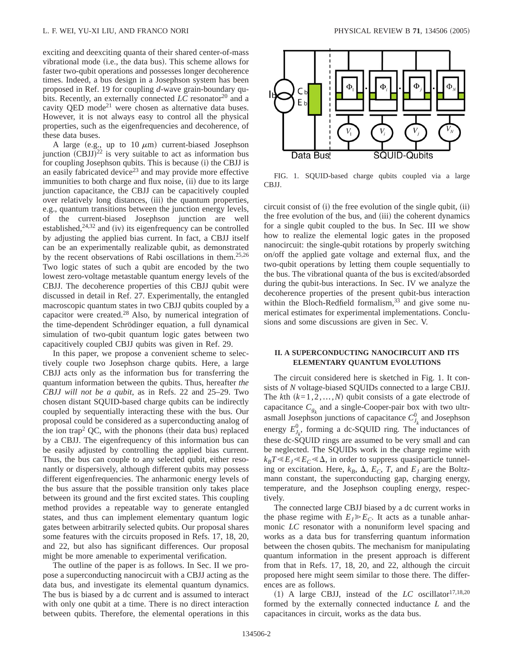exciting and deexciting quanta of their shared center-of-mass vibrational mode (i.e., the data bus). This scheme allows for faster two-qubit operations and possesses longer decoherence times. Indeed, a bus design in a Josephson system has been proposed in Ref. 19 for coupling *d*-wave grain-boundary qubits. Recently, an externally connected *LC* resonator<sup>20</sup> and a cavity QED mode<sup>21</sup> were chosen as alternative data buses. However, it is not always easy to control all the physical properties, such as the eigenfrequencies and decoherence, of these data buses.

A large (e.g., up to 10  $\mu$ m) current-biased Josephson junction  $(CBJJ)^{22}$  is very suitable to act as information bus for coupling Josephson qubits. This is because (i) the CBJJ is an easily fabricated device<sup>23</sup> and may provide more effective immunities to both charge and flux noise, (ii) due to its large junction capacitance, the CBJJ can be capacitively coupled over relatively long distances, (iii) the quantum properties, e.g., quantum transitions between the junction energy levels, of the current-biased Josephson junction are well established,  $24,32$  and (iv) its eigenfrequency can be controlled by adjusting the applied bias current. In fact, a CBJJ itself can be an experimentally realizable qubit, as demonstrated by the recent observations of Rabi oscillations in them.<sup>25,26</sup> Two logic states of such a qubit are encoded by the two lowest zero-voltage metastable quantum energy levels of the CBJJ. The decoherence properties of this CBJJ qubit were discussed in detail in Ref. 27. Experimentally, the entangled macroscopic quantum states in two CBJJ qubits coupled by a capacitor were created.<sup>28</sup> Also, by numerical integration of the time-dependent Schrödinger equation, a full dynamical simulation of two-qubit quantum logic gates between two capacitively coupled CBJJ qubits was given in Ref. 29.

In this paper, we propose a convenient scheme to selectively couple two Josephson charge qubits. Here, a large CBJJ acts only as the information bus for transferring the quantum information between the qubits. Thus, hereafter *the CBJJ will not be a qubit*, as in Refs. 22 and 25–29. Two chosen distant SQUID-based charge qubits can be indirectly coupled by sequentially interacting these with the bus. Our proposal could be considered as a superconducting analog of the ion trap<sup>2</sup> QC, with the phonons (their data bus) replaced by a CBJJ. The eigenfrequency of this information bus can be easily adjusted by controlling the applied bias current. Thus, the bus can couple to any selected qubit, either resonantly or dispersively, although different qubits may possess different eigenfrequencies. The anharmonic energy levels of the bus assure that the possible transition only takes place between its ground and the first excited states. This coupling method provides a repeatable way to generate entangled states, and thus can implement elementary quantum logic gates between arbitrarily selected qubits. Our proposal shares some features with the circuits proposed in Refs. 17, 18, 20, and 22, but also has significant differences. Our proposal might be more amenable to experimental verification.

The outline of the paper is as follows. In Sec. II we propose a superconducting nanocircuit with a CBJJ acting as the data bus, and investigate its elemental quantum dynamics. The bus is biased by a dc current and is assumed to interact with only one qubit at a time. There is no direct interaction between qubits. Therefore, the elemental operations in this



FIG. 1. SQUID-based charge qubits coupled via a large CBJJ.

circuit consist of  $(i)$  the free evolution of the single qubit,  $(ii)$ the free evolution of the bus, and (iii) the coherent dynamics for a single qubit coupled to the bus. In Sec. III we show how to realize the elemental logic gates in the proposed nanocircuit: the single-qubit rotations by properly switching on/off the applied gate voltage and external flux, and the two-qubit operations by letting them couple sequentially to the bus. The vibrational quanta of the bus is excited/absorded during the qubit-bus interactions. In Sec. IV we analyze the decoherence properties of the present qubit-bus interaction within the Bloch-Redfield formalism,  $33$  and give some numerical estimates for experimental implementations. Conclusions and some discussions are given in Sec. V.

# **II. A SUPERCONDUCTING NANOCIRCUIT AND ITS ELEMENTARY QUANTUM EVOLUTIONS**

The circuit considered here is sketched in Fig. 1. It consists of *N* voltage-biased SQUIDs connected to a large CBJJ. The *k*th  $(k=1,2,...,N)$  qubit consists of a gate electrode of capacitance  $C_{g_k}$  and a single-Cooper-pair box with two ultrasmall Josephson junctions of capacitance  $C_{J_k}^0$  and Josephson energy  $E_{J_k}^0$ , forming a dc-SQUID ring. The inductances of these dc-SQUID rings are assumed to be very small and can be neglected. The SQUIDs work in the charge regime with  $k_B T \ll E_J \ll E_C \ll \Delta$ , in order to suppress quasiparticle tunneling or excitation. Here,  $k_B$ ,  $\Delta$ ,  $E_C$ , *T*, and  $E_J$  are the Boltzmann constant, the superconducting gap, charging energy, temperature, and the Josephson coupling energy, respectively.

The connected large CBJJ biased by a dc current works in the phase regime with  $E_J \ge E_C$ . It acts as a tunable anharmonic *LC* resonator with a nonuniform level spacing and works as a data bus for transferring quantum information between the chosen qubits. The mechanism for manipulating quantum information in the present approach is different from that in Refs. 17, 18, 20, and 22, although the circuit proposed here might seem similar to those there. The differences are as follows.

(1) A large CBJJ, instead of the  $LC$  oscillator<sup>17,18,20</sup> formed by the externally connected inductance *L* and the capacitances in circuit, works as the data bus.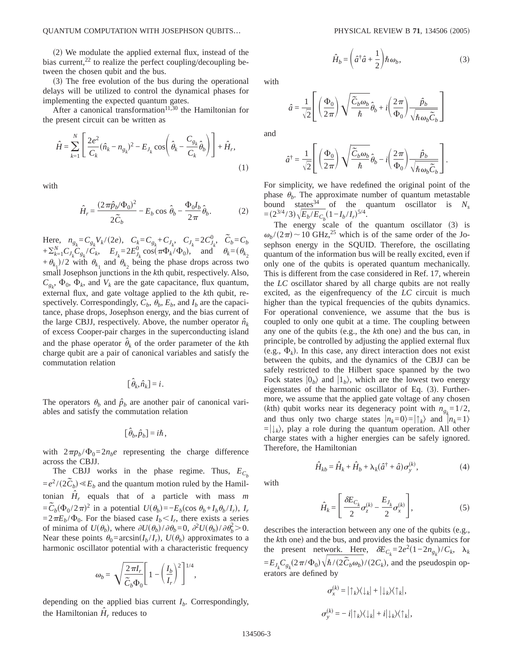$(2)$  We modulate the applied external flux, instead of the bias current,<sup>22</sup> to realize the perfect coupling/decoupling between the chosen qubit and the bus.

 $(3)$  The free evolution of the bus during the operational delays will be utilized to control the dynamical phases for implementing the expected quantum gates.

After a canonical transformation<sup>11,30</sup> the Hamiltonian for the present circuit can be written as

$$
\hat{H} = \sum_{k=1}^{N} \left[ \frac{2e^2}{C_k} (\hat{n}_k - n_{g_k})^2 - E_{J_k} \cos \left( \hat{\theta}_k - \frac{C_{g_k}}{C_k} \hat{\theta}_k \right) \right] + \hat{H}_r,
$$
\n(1)

with

$$
\hat{H}_r = \frac{(2\pi\hat{p}_b/\Phi_0)^2}{2\tilde{C}_b} - E_b \cos \hat{\theta}_b - \frac{\Phi_0 I_b}{2\pi} \hat{\theta}_b.
$$
 (2)

Here,  $n_{g_k} = C_{g_k} V_k / (2e)$ ,  $C_k = C_{g_k} + C_{J_k}$ ,  $C_{J_k} = 2C_{J_k}^0$ ,  $\tilde{C}_b = C_b$  $+ \sum_{k=1}^{N} C_{J_k} C_{g_k} / C_k$ ,  $E_{J_k} = 2E_{J_k}^0 \cos(\pi \Phi_k / \Phi_0)$ , and  $\theta_k = (\theta_{k_2})$  $+(\theta_{k_1})/2$  with  $\theta_{k_1}$  and  $\theta_{k_2}$  being the phase drops across two small Josephson junctions in the *k*th qubit, respectively. Also,  $C_{g_k}$ ,  $\Phi_0$ ,  $\Phi_k$ , and  $V_k$  are the gate capacitance, flux quantum, external flux, and gate voltage applied to the *k*th qubit, respectively. Correspondingly,  $C_b$ ,  $\theta_b$ ,  $E_b$ , and  $I_b$  are the capacitance, phase drops, Josephson energy, and the bias current of the large CBJJ, respectively. Above, the number operator  $\hat{n}_k$ of excess Cooper-pair charges in the superconducting island and the phase operator  $\hat{\theta}_k$  of the order parameter of the *k*th charge qubit are a pair of canonical variables and satisfy the commutation relation

$$
\big[\,\hat{\theta}_k,\hat{n}_k\big]=i\,.
$$

The operators  $\theta_b$  and  $\hat{p}_b$  are another pair of canonical variables and satisfy the commutation relation

$$
\big[\,\hat{\theta}_b,\hat{p}_b\big] = i\hbar\,,
$$

with  $2\pi p_b / \Phi_0 = 2n_b e$  representing the charge difference across the CBJJ.

The CBJJ works in the phase regime. Thus,  $E_C$  $= e^2 / (2 \tilde{C}_b) \ll E_b$  and the quantum motion ruled by the Hamiltonian  $\hat{H}_r$  equals that of a particle with mass *m*  $= \widetilde{C}_b (\Phi_0 / 2\pi)^2$  in a potential  $U(\theta_b) = -E_b(\cos \theta_b + I_b \theta_b / I_r)$ , *I<sub>r</sub>*  $=2\pi E_b/\Phi_0$ . For the biased case  $I_b < I_r$ , there exists a series of minima of  $U(\theta_b)$ , where  $\partial U(\theta_b)/\partial \theta_b = 0$ ,  $\partial^2 U(\theta_b)/\partial \theta_b^2 > 0$ . Near these points  $\theta_0 = \arcsin(I_b / I_r)$ ,  $U(\theta_b)$  approximates to a harmonic oscillator potential with a characteristic frequency

$$
\omega_b = \sqrt{\frac{2\,\pi I_r}{\tilde{C}_b \Phi_0}} \bigg[ \, 1 - \bigg(\frac{I_b}{I_r}\bigg)^2 \bigg]^{1/4},
$$

depending on the applied bias current  $I<sub>b</sub>$ . Correspondingly, the Hamiltonian  $\hat{H}_r$  reduces to

$$
\hat{H}_b = \left(\hat{a}^\dagger \hat{a} + \frac{1}{2}\right) \hbar \omega_b, \tag{3}
$$

with

$$
\hat{a}=\frac{1}{\sqrt{2}}\left[\left(\frac{\Phi_0}{2\,\pi}\right)\sqrt{\frac{\tilde{C}_b\omega_b}{\hbar}}\,\hat{\theta}_b+i\!\left(\frac{2\,\pi}{\Phi_0}\right)\!\frac{\hat{p}_b}{\sqrt{\hbar\,\omega_b\,\tilde{C}_b}}\right]
$$

and

$$
\hat{a}^{\dagger} = \frac{1}{\sqrt{2}} \left[ \left( \frac{\Phi_0}{2\pi} \right) \sqrt{\frac{\tilde{C}_b \omega_b}{\hbar}} \hat{\theta}_b - i \left( \frac{2\pi}{\Phi_0} \right) \frac{\hat{p}_b}{\sqrt{\hbar \omega_b \tilde{C}_b}} \right].
$$

For simplicity, we have redefined the original point of the phase  $\theta_h$ . The approximate number of quantum metastable bound states<sup>34</sup> of the quantum oscillator is  $N_s$  $=(2^{3/4}/3)\sqrt{E_b/E_{C_b}}(1-I_b/I_r)^{5/4}.$ 

The energy scale of the quantum oscillator  $(3)$  is  $\omega_b/(2\pi) \sim 10$  GHz,<sup>25</sup> which is of the same order of the Josephson energy in the SQUID. Therefore, the oscillating quantum of the information bus will be really excited, even if only one of the qubits is operated quantum mechanically. This is different from the case considered in Ref. 17, wherein the *LC* oscillator shared by all charge qubits are not really excited, as the eigenfrequency of the *LC* circuit is much higher than the typical frequencies of the qubits dynamics. For operational convenience, we assume that the bus is coupled to only one qubit at a time. The coupling between any one of the qubits (e.g., the *k*th one) and the bus can, in principle, be controlled by adjusting the applied external flux (e.g.,  $\Phi_k$ ). In this case, any direct interaction does not exist between the qubits, and the dynamics of the CBJJ can be safely restricted to the Hilbert space spanned by the two Fock states  $|0_h\rangle$  and  $|1_h\rangle$ , which are the lowest two energy eigenstates of the harmonic oscillator of Eq.  $(3)$ . Furthermore, we assume that the applied gate voltage of any chosen (*kth*) qubit works near its degeneracy point with  $n_{g_k} = 1/2$ , and thus only two charge states  $|n_k=0\rangle = |\uparrow_k\rangle$  and  $|n_k=1\rangle$  $=|\downarrow_k\rangle$ , play a role during the quantum operation. All other charge states with a higher energies can be safely ignored. Therefore, the Hamiltonian

$$
\hat{H}_{kb} = \hat{H}_k + \hat{H}_b + \lambda_k(\hat{a}^\dagger + \hat{a})\sigma_y^{(k)},\tag{4}
$$

with

$$
\hat{H}_k = \left[ \frac{\delta E_{C_k}}{2} \sigma_z^{(k)} - \frac{E_{J_k}}{2} \sigma_x^{(k)} \right],\tag{5}
$$

describes the interaction between any one of the qubits  $(e.g.,)$ the *k*th one) and the bus, and provides the basic dynamics for the present network. Here,  $\delta E_{C_k} = 2e^2(1-2n_{g_k})/C_k$ ,  $\lambda_k$  $=E_{J_k}C_{g_k}(2\pi/\Phi_0)\sqrt{\hbar/(2\tilde{C}_b\omega_b)/(2C_k)}$ , and the pseudospin operators are defined by

$$
\sigma_x^{(k)} = |\uparrow_k \rangle \langle \downarrow_k | + |\downarrow_k \rangle \langle \uparrow_k |,
$$
  

$$
\sigma_y^{(k)} = -i |\uparrow_k \rangle \langle \downarrow_k | + i |\downarrow_k \rangle \langle \uparrow_k |,
$$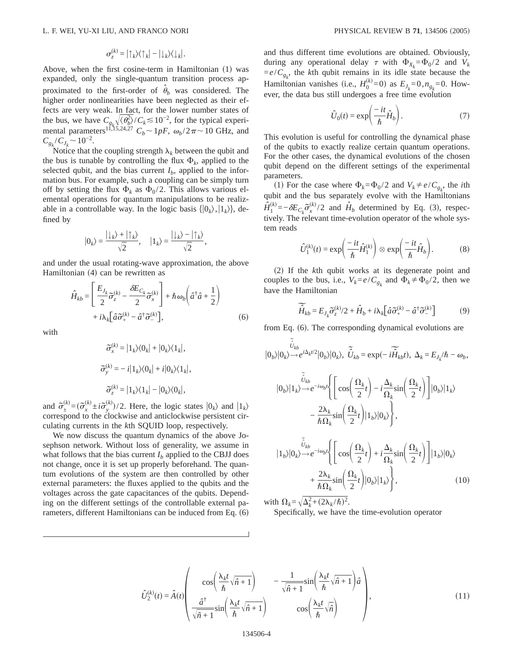$$
\sigma_z^{(k)} = |\!\uparrow_k\rangle\langle\uparrow_k| - |\!\downarrow_k\rangle\langle\downarrow_k|.
$$

Above, when the first cosine-term in Hamiltonian  $(1)$  was expanded, only the single-quantum transition process approximated to the first-order of  $\hat{\theta}_b$  was considered. The higher order nonlinearities have been neglected as their effects are very weak. In fact, for the lower number states of the bus, we have  $C_{g_k} \sqrt{\langle \theta_k^2 \rangle / C_k} \approx 10^{-2}$ , for the typical experimental parameters<sup>11,15,24,27</sup>  $C_b \sim 1pF$ ,  $\omega_b/2\pi \sim 10$  GHz, and  $C_{g_k}/C_{J_k}$  ~ 10<sup>-2</sup>.

Notice that the coupling strength  $\lambda_k$  between the qubit and the bus is tunable by controlling the flux  $\Phi_k$ , applied to the selected qubit, and the bias current  $I<sub>b</sub>$ , applied to the information bus. For example, such a coupling can be simply turn off by setting the flux  $\Phi_k$  as  $\Phi_0/2$ . This allows various elemental operations for quantum manipulations to be realizable in a controllable way. In the logic basis  $\{|0_k\rangle, |1_k\rangle\}$ , defined by

$$
|0_k\rangle=\frac{|\downarrow_k\rangle+|\uparrow_k\rangle}{\sqrt{2}},\quad \ |1_k\rangle=\frac{|\downarrow_k\rangle-|\uparrow_k\rangle}{\sqrt{2}},
$$

and under the usual rotating-wave approximation, the above Hamiltonian  $(4)$  can be rewritten as

$$
\hat{H}_{kb} = \left[ \frac{E_{J_k}}{2} \tilde{\sigma}_z^{(k)} - \frac{\delta E_{C_k}}{2} \tilde{\sigma}_x^{(k)} \right] + \hbar \omega_b \left( \hat{a}^\dagger \hat{a} + \frac{1}{2} \right) + i \lambda_k \left[ \hat{a} \tilde{\sigma}_+^{(k)} - \hat{a}^\dagger \tilde{\sigma}_-^{(k)} \right],
$$
\n(6)

with

$$
\widetilde{\sigma}_{x}^{(k)} = |1_{k}\rangle\langle0_{k}| + |0_{k}\rangle\langle1_{k}|,
$$
  

$$
\widetilde{\sigma}_{y}^{(k)} = -i|1_{k}\rangle\langle0_{k}| + i|0_{k}\rangle\langle1_{k}|,
$$
  

$$
\widetilde{\sigma}_{z}^{(k)} = |1_{k}\rangle\langle1_{k}| - |0_{k}\rangle\langle0_{k}|,
$$

and  $\tilde{\sigma}_{\pm}^{(k)} = (\tilde{\sigma}_{x}^{(k)} \pm i \tilde{\sigma}_{y}^{(k)})/2$ . Here, the logic states  $|0_{k}\rangle$  and  $|1_{k}\rangle$ correspond to the clockwise and anticlockwise persistent circulating currents in the *k*th SQUID loop, respectively.

We now discuss the quantum dynamics of the above Josephson network. Without loss of generality, we assume in what follows that the bias current  $I<sub>b</sub>$  applied to the CBJJ does not change, once it is set up properly beforehand. The quantum evolutions of the system are then controlled by other external parameters: the fluxes applied to the qubits and the voltages across the gate capacitances of the qubits. Depending on the different settings of the controllable external parameters, different Hamiltonians can be induced from Eq.  $(6)$  and thus different time evolutions are obtained. Obviously, during any operational delay  $\tau$  with  $\Phi_{X_k} = \Phi_0 / 2$  and  $V_k$  $=e/C_{g_k}$ , the *k*th qubit remains in its idle state because the Hamiltonian vanishes (i.e.,  $H_0^{(k)} = 0$ ) as  $E_{J_k} = 0$ ,  $n_{g_k} = 0$ . However, the data bus still undergoes a free time evolution

$$
\hat{U}_0(t) = \exp\left(\frac{-it}{\hbar}\hat{H}_b\right).
$$
\n(7)

This evolution is useful for controlling the dynamical phase of the qubits to exactly realize certain quantum operations. For the other cases, the dynamical evolutions of the chosen qubit depend on the different settings of the experimental parameters.

(1) For the case where  $\Phi_k = \Phi_0 / 2$  and  $V_k \neq e / C_{g_k}$ , the *i*th qubit and the bus separately evolve with the Hamiltonians  $\hat{H}_{1}^{0}$  $s_k^{(k)} = -\delta E_{C_k} \tilde{\sigma}_x^{(k)}/2$  and  $\hat{H}_b$  determined by Eq. (3), respectively. The relevant time-evolution operator of the whole system reads

$$
\hat{U}_{1}^{(k)}(t) = \exp\left(\frac{-it}{\hbar}\hat{H}_{1}^{(k)}\right) \otimes \exp\left(\frac{-it}{\hbar}\hat{H}_{b}\right).
$$
 (8)

(2) If the *k*th qubit works at its degenerate point and couples to the bus, i.e.,  $V_k = e/C_{g_k}$  and  $\Phi_k \neq \Phi_0 / 2$ , then we have the Hamiltonian<br> $\widetilde{H}_{th} = E_L \widetilde{\sigma}_{\tau}^0$ 

$$
\widetilde{\hat{H}}_{kb} = E_{J_k} \widetilde{\sigma}_z^{(k)}/2 + \hat{H}_b + i\lambda_k \left[ \hat{a} \widetilde{\sigma}_+^{(k)} - \hat{a}^\dagger \widetilde{\sigma}_-^{(k)} \right] \tag{9}
$$

from Eq.  $(6)$ . The corresponding dynamical evolutions are

$$
|0_{b}\rangle|0_{k}\rangle \rightarrow e^{i\Delta_{k}t/2}|0_{b}\rangle|0_{k}\rangle, \quad \widetilde{U}_{kb} = \exp(-i\widetilde{H}_{kb}t), \quad \Delta_{k} = E_{J_{k}}/\hbar - \omega_{b},
$$
\n
$$
|0_{b}\rangle|1_{k}\rangle \rightarrow e^{-i\omega_{b}t}\Biggl\{ \Biggl[ \cos\Biggl(\frac{\Omega_{k}}{2}t\Biggr) - i\frac{\Delta_{k}}{\Omega_{k}}\sin\Biggl(\frac{\Omega_{k}}{2}t\Biggr) \Biggr] |0_{b}\rangle|1_{k}\rangle - \frac{2\lambda_{k}}{\hbar\Omega_{k}}\sin\Biggl(\frac{\Omega_{k}}{2}t\Biggr) |1_{b}\rangle|0_{k}\rangle \Biggr\},
$$
\n
$$
|1_{b}\rangle|0_{k}\rangle \rightarrow e^{-i\omega_{b}t}\Biggl\{ \Biggl[ \cos\Biggl(\frac{\Omega_{k}}{2}t\Biggr) + i\frac{\Delta_{k}}{\Omega_{k}}\sin\Biggl(\frac{\Omega_{k}}{2}t\Biggr) \Biggr] |1_{b}\rangle|0_{k}\rangle + \frac{2\lambda_{k}}{\hbar\Omega_{k}}\sin\Biggl(\frac{\Omega_{k}}{2}t\Biggr) |0_{b}\rangle|1_{k}\rangle \Biggr\}, \tag{10}
$$

with  $\Omega_k = \sqrt{\Delta_k^2 + (2\lambda_k/\hbar)^2}$ .

Specifically, we have the time-evolution operator

$$
\hat{U}_{2}^{(k)}(t) = \hat{A}(t) \begin{pmatrix} \cos\left(\frac{\lambda_{k}t}{\hbar}\sqrt{\hat{n}+1}\right) & -\frac{1}{\sqrt{\hat{n}+1}}\sin\left(\frac{\lambda_{k}t}{\hbar}\sqrt{\hat{n}+1}\right)\hat{a} \\ \frac{\hat{a}^{\dagger}}{\sqrt{\hat{n}+1}}\sin\left(\frac{\lambda_{k}t}{\hbar}\sqrt{\hat{n}+1}\right) & \cos\left(\frac{\lambda_{k}t}{\hbar}\sqrt{\hat{n}}\right) \end{pmatrix}, \tag{11}
$$

134506-4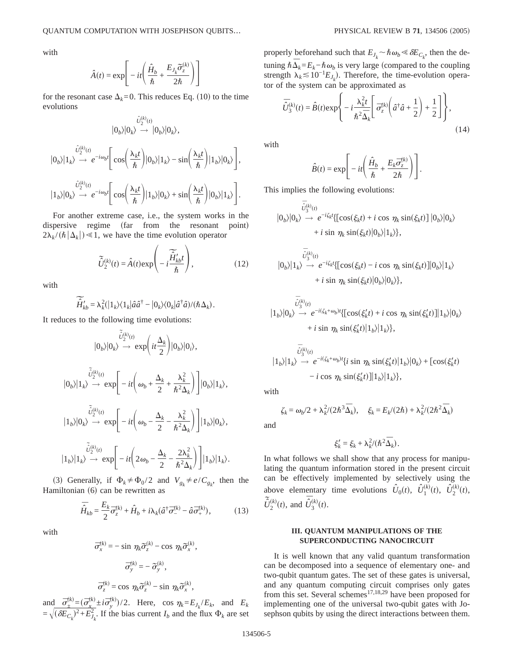with

$$
\hat{A}(t) = \exp\left[-it\left(\frac{\hat{H}_b}{\hbar} + \frac{E_{J_k}\tilde{\sigma}_z^{(k)}}{2\hbar}\right)\right]
$$

for the resonant case  $\Delta_k = 0$ . This reduces Eq. (10) to the time evolutions

$$
\frac{\hat{U}_{2}^{(k)}(t)}{|0_{b}\rangle|0_{k}\rangle} \rightarrow |0_{b}\rangle|0_{k}\rangle,
$$
\n
$$
|0_{b}\rangle|1_{k}\rangle \rightarrow e^{-i\omega_{b}t} \left[\cos\left(\frac{\lambda_{k}t}{\hbar}\right)|0_{b}\rangle|1_{k}\rangle - \sin\left(\frac{\lambda_{k}t}{\hbar}\right)|1_{b}\rangle|0_{k}\rangle\right],
$$
\n
$$
|1_{b}\rangle|0_{k}\rangle \rightarrow e^{-i\omega_{b}t} \left[\cos\left(\frac{\lambda_{k}t}{\hbar}\right)|1_{b}\rangle|0_{k}\rangle + \sin\left(\frac{\lambda_{k}t}{\hbar}\right)|0_{b}\rangle|1_{k}\rangle\right].
$$

For another extreme case, i.e., the system works in the dispersive regime (far from the resonant point)  $2\lambda_k / (\hbar |\Delta_k|) \ll 1$ , we have the time evolution operator

$$
\widetilde{\hat{U}}_{2}^{(k)}(t) = \hat{A}(t) \exp\left(-i\frac{\widetilde{H}_{kb}'t}{\hbar}\right),\tag{12}
$$

with

$$
\widetilde{\hat{H}}'_{kb} = \lambda_k^2 (|1_k\rangle\langle 1_k|\hat{a}\hat{a}^\dagger - |0_k\rangle\langle 0_k|\hat{a}^\dagger\hat{a})/(\hbar\Delta_k).
$$

It reduces to the following time evolutions:

$$
\begin{aligned}\n&\tilde{\tilde{\upsilon}}_{2}^{(k)}(t) \\
&\left|0_{b}\right\rangle\left|0_{k}\right\rangle \xrightarrow{\sim} \exp\left(it\frac{\Delta_{k}}{2}\right)\left|0_{b}\right\rangle\left|0_{i}\right\rangle, \\
&\left|0_{b}\right\rangle\left|1_{k}\right\rangle \xrightarrow{\sim} \exp\left[-it\left(\omega_{b} + \frac{\Delta_{k}}{2} + \frac{\lambda_{k}^{2}}{\hbar^{2}\Delta_{k}}\right)\right]\left|0_{b}\right\rangle\left|1_{k}\right\rangle, \\
&\left|1_{b}\right\rangle\left|0_{k}\right\rangle \xrightarrow{\sim} \exp\left[-it\left(\omega_{b} - \frac{\Delta_{k}}{2} - \frac{\lambda_{k}^{2}}{\hbar^{2}\Delta_{k}}\right)\right]\left|1_{b}\right\rangle\left|0_{k}\right\rangle, \\
&\left|1_{b}\right\rangle\left|1_{k}\right\rangle \xrightarrow{\sim} \exp\left[-it\left(2\omega_{b} - \frac{\Delta_{k}}{2} - \frac{2\lambda_{k}^{2}}{\hbar^{2}\Delta_{k}}\right)\right]\left|1_{b}\right\rangle\left|1_{k}\right\rangle.\n\end{aligned}
$$

(3) Generally, if  $\Phi_k \neq \Phi_0 / 2$  and  $V_{g_k} \neq e / C_{g_k}$ , then the Hamiltonian  $(6)$  can be rewritten as

$$
\overline{\hat{H}}_{kb} = \frac{E_k}{2}\overline{\sigma}_z^{(k)} + \hat{H}_b + i\lambda_k(\hat{a}^\dagger \overline{\sigma}_-^{(k)} - \hat{a}\overline{\sigma}_+^{(k)}),\tag{13}
$$

with

$$
\bar{\sigma}_{x}^{(k)} = -\sin \eta_k \tilde{\sigma}_{z}^{(k)} - \cos \eta_k \tilde{\sigma}_{x}^{(k)},
$$

$$
\bar{\sigma}_{y}^{(k)} = -\tilde{\sigma}_{y}^{(k)},
$$

$$
\bar{\sigma}_{z}^{(k)} = \cos \eta_k \tilde{\sigma}_{z}^{(k)} - \sin \eta_k \tilde{\sigma}_{x}^{(k)},
$$

and  $\frac{\bar{\sigma}_{+}^{(k)} = (\bar{\sigma}_{x}^{(k)} \pm i \bar{\sigma}_{y}^{(k)})/2$ . Here, cos  $\eta_k = E_{J_k}/E_k$ , and  $E_k = \sqrt{(\delta E_{C_k})^2 + E_{J_k}^2}$ . If the bias current  $I_b$  and the flux  $\Phi_k$  are set

properly beforehand such that  $E_{J_k} \sim \hbar \omega_b \ll \delta E_{C_k}$ , then the detuning  $\hbar \bar{\Delta}_k = E_k - \hbar \omega_b$  is very large (compared to the coupling strength  $\lambda_k \leq 10^{-1} E_{J_k}$ ). Therefore, the time-evolution operator of the system can be approximated as

$$
\overline{\hat{U}}_{3}^{(k)}(t) = \hat{B}(t) \exp\left\{-i\frac{\lambda_{k}^{2}t}{\hbar^{2}\overline{\Delta}_{k}}\left[\,\overline{\sigma}_{z}^{(k)}\left(\hat{a}^{\dagger}\hat{a} + \frac{1}{2}\right) + \frac{1}{2}\,\right]\right\},\tag{14}
$$

with

$$
\hat{B}(t) = \exp\left[-it\left(\frac{\hat{H}_b}{\hbar} + \frac{E_k \overline{\sigma}_z^{(k)}}{2\hbar}\right)\right].
$$

This implies the following evolutions:

$$
|0_b\rangle|0_k\rangle \rightarrow e^{-i\zeta_k t} \{[\cos(\xi_k t) + i \cos \eta_k \sin(\xi_k t)] |0_b\rangle|0_k\rangle + i \sin \eta_k \sin(\xi_k t)|0_b\rangle|1_k\rangle\},\
$$

$$
|0_b\rangle|1_k\rangle \longrightarrow e^{-i\zeta_k t} \{[\cos(\xi_k t) - i \cos \eta_k \sin(\xi_k t)]|0_b\rangle|1_k\rangle
$$
  
+ *i* sin  $\eta_k \sin(\xi_k t)|0_b\rangle|0_k\rangle\},$ 

$$
|1_{b}\rangle|0_{k}\rangle \rightarrow e^{-i(\zeta_{k}+\omega_{b})t}\{[\cos(\xi'_{k}t)+i\cos\eta_{k}\sin(\xi'_{k}t)]|1_{b}\rangle|0_{k}\rangle
$$

$$
+i\sin\eta_{k}\sin(\xi'_{k}t)|1_{b}\rangle|1_{k}\rangle\},\
$$

$$
\begin{aligned} \bar{\tilde{U}}_{3}^{(k)}(t) \\ |1_{b}\rangle |1_{k}\rangle &\to e^{-i(\zeta_{k}+\omega_{b})t}\{i\sin\eta_{k}\sin(\xi_{k}^{\prime}t)|1_{b}\rangle|0_{k}\rangle + [\cos(\xi_{k}^{\prime}t) \\ &-i\cos\eta_{k}\sin(\xi_{k}^{\prime}t)]|1_{b}\rangle|1_{k}\rangle\}, \end{aligned}
$$

with

$$
\zeta_k = \omega_b/2 + \lambda_k^2/(2\hbar^3 \overline{\Delta}_k), \quad \xi_k = E_k/(2\hbar) + \lambda_k^2/(2\hbar^2 \overline{\Delta}_k)
$$

and

$$
\xi'_k = \xi_k + \lambda_k^2/(\hbar^2 \overline{\Delta}_k).
$$

In what follows we shall show that any process for manipulating the quantum information stored in the present circuit can be effectively implemented by selectively using the above elementary time evolutions  $\hat{U}_0(t)$ ,  $\hat{U}_1^0$  $\hat{U}_1^{(k)}(t)$ ,  $\hat{U}_2^{(i)}$  $\binom{k}{2}(t)$ ,  $\tilde{\hat{U}}_2^0$  $\overline{\hat{U}}_2^{(k)}(t)$ , and  $\overline{\hat{U}}_3^{(k)}$  $\binom{k}{3}(t)$ .

# **III. QUANTUM MANIPULATIONS OF THE SUPERCONDUCTING NANOCIRCUIT**

It is well known that any valid quantum transformation can be decomposed into a sequence of elementary one- and two-qubit quantum gates. The set of these gates is universal, and any quantum computing circuit comprises only gates from this set. Several schemes<sup>17,18,29</sup> have been proposed for implementing one of the universal two-qubit gates with Josephson qubits by using the direct interactions between them.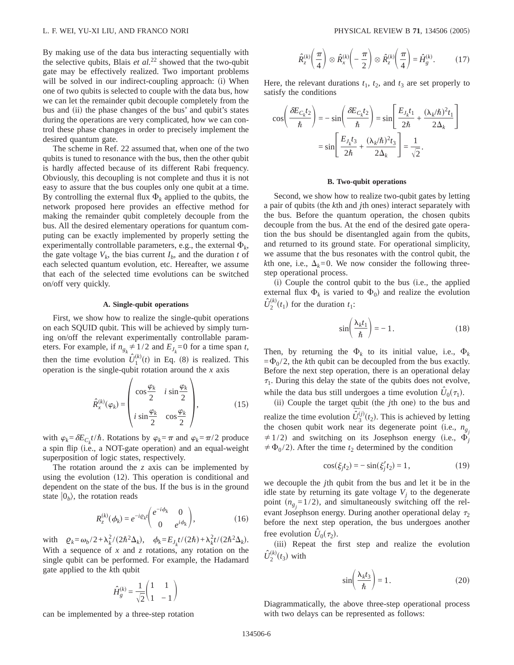By making use of the data bus interacting sequentially with the selective qubits, Blais *et al.*<sup>22</sup> showed that the two-qubit gate may be effectively realized. Two important problems will be solved in our indirect-coupling approach: (i) When one of two qubits is selected to couple with the data bus, how we can let the remainder qubit decouple completely from the bus and (ii) the phase changes of the bus' and qubit's states during the operations are very complicated, how we can control these phase changes in order to precisely implement the desired quantum gate.

The scheme in Ref. 22 assumed that, when one of the two qubits is tuned to resonance with the bus, then the other qubit is hardly affected because of its different Rabi frequency. Obviously, this decoupling is not complete and thus it is not easy to assure that the bus couples only one qubit at a time. By controlling the external flux  $\Phi_k$  applied to the qubits, the network proposed here provides an effective method for making the remainder qubit completely decouple from the bus. All the desired elementary operations for quantum computing can be exactly implemented by properly setting the experimentally controllable parameters, e.g., the external  $\Phi_k$ , the gate voltage  $V_k$ , the bias current  $I_k$ , and the duration  $t$  of each selected quantum evolution, etc. Hereafter, we assume that each of the selected time evolutions can be switched on/off very quickly.

### **A. Single-qubit operations**

First, we show how to realize the single-qubit operations on each SQUID qubit. This will be achieved by simply turning on/off the relevant experimentally controllable parameters. For example, if  $n_{g_k} \neq 1/2$  and  $E_{J_k} = 0$  for a time span *t*, then the time evolution  $\hat{U}_1^0$  $f_1^{(k)}(t)$  in Eq. (8) is realized. This operation is the single-qubit rotation around the *x* axis

$$
\hat{R}_x^{(k)}(\varphi_k) = \begin{pmatrix} \cos\frac{\varphi_k}{2} & i\sin\frac{\varphi_k}{2} \\ i\sin\frac{\varphi_k}{2} & \cos\frac{\varphi_k}{2} \end{pmatrix},
$$
\n(15)

with  $\varphi_k = \delta E_{C_k} t / \hbar$ . Rotations by  $\varphi_k = \pi$  and  $\varphi_k = \pi/2$  produce a spin flip (i.e., a NOT-gate operation) and an equal-weight superposition of logic states, respectively.

The rotation around the *z* axis can be implemented by using the evolution  $(12)$ . This operation is conditional and dependent on the state of the bus. If the bus is in the ground state  $|0_h\rangle$ , the rotation reads

$$
R_z^{(k)}(\phi_k) = e^{-i\varrho_k t} \begin{pmatrix} e^{-i\phi_k} & 0\\ 0 & e^{i\phi_k} \end{pmatrix},\tag{16}
$$

with  $\varrho_k = \omega_b / 2 + \lambda_k^2 / (2\hbar^2 \Delta_k)$ ,  $\varphi_k = E_{J_k} t / (2\hbar) + \lambda_k^2 t / (2\hbar^2 \Delta_k)$ . With a sequence of  $x$  and  $z$  rotations, any rotation on the single qubit can be performed. For example, the Hadamard gate applied to the *k*th qubit

$$
\hat{H}_g^{(k)} = \frac{1}{\sqrt{2}} \begin{pmatrix} 1 & 1 \\ 1 & -1 \end{pmatrix}
$$

can be implemented by a three-step rotation

$$
\hat{R}_z^{(k)}\!\!\left(\frac{\pi}{4}\right) \otimes \hat{R}_x^{(k)}\!\!\left(-\frac{\pi}{2}\right) \otimes \hat{R}_z^{(k)}\!\!\left(\frac{\pi}{4}\right) = \hat{H}_g^{(k)}.\tag{17}
$$

Here, the relevant durations  $t_1$ ,  $t_2$ , and  $t_3$  are set properly to satisfy the conditions

$$
\cos\left(\frac{\delta E_{C_k}t_2}{\hbar}\right) = -\sin\left(\frac{\delta E_{C_k}t_2}{\hbar}\right) = \sin\left[\frac{E_{J_k}t_1}{2\hbar} + \frac{(\lambda_k/\hbar)^2 t_1}{2\Delta_k}\right]
$$

$$
= \sin\left[\frac{E_{J_k}t_3}{2\hbar} + \frac{(\lambda_k/\hbar)^2 t_3}{2\Delta_k}\right] = \frac{1}{\sqrt{2}}.
$$

#### **B. Two-qubit operations**

Second, we show how to realize two-qubit gates by letting a pair of qubits (the *k*th and *j*th ones) interact separately with the bus. Before the quantum operation, the chosen qubits decouple from the bus. At the end of the desired gate operation the bus should be disentangled again from the qubits, and returned to its ground state. For operational simplicity, we assume that the bus resonates with the control qubit, the *k*th one, i.e.,  $\Delta_k = 0$ . We now consider the following threestep operational process.

 $(i)$  Couple the control qubit to the bus (i.e., the applied external flux  $\Phi_k$  is varied to  $\Phi_0$ ) and realize the evolution  $\hat{U}_2^0$  $s_2^{(k)}(t_1)$  for the duration  $t_1$ :

$$
\sin\left(\frac{\lambda_k t_1}{\hbar}\right) = -1.
$$
 (18)

Then, by returning the  $\Phi_k$  to its initial value, i.e.,  $\Phi_k$  $=\Phi_0 / 2$ , the *k*th qubit can be decoupled from the bus exactly. Before the next step operation, there is an operational delay  $\tau_1$ . During this delay the state of the qubits does not evolve, while the data bus still undergoes a time evolution  $\hat{U}_0(\tau_1)$ .

(ii) Couple the target qubit (the *j*th one) to the bus and realize the time evolution  $\tilde{U}_3^{\zeta}$  $s_3^{(j)}(t_2)$ . This is achieved by letting the chosen qubit work near its degenerate point (i.e.,  $n_g$ )  $\neq$  1/2) and switching on its Josephson energy (i.e.,  $\Phi$ <sup>*j*</sup>  $\neq \Phi_0$ /2). After the time *t*<sub>2</sub> determined by the condition

$$
\cos(\xi_j t_2) = -\sin(\xi_j' t_2) = 1,\tag{19}
$$

we decouple the *j*th qubit from the bus and let it be in the idle state by returning its gate voltage  $V_i$  to the degenerate point  $(n_{g_j}=1/2)$ , and simultaneously switching off the relevant Josephson energy. During another operational delay  $\tau_2$ before the next step operation, the bus undergoes another free evolution  $U_0(\tau_2)$ .

(iii) Repeat the first step and realize the evolution  $\hat{U}_2^0$  $s_2^{(k)}(t_3)$  with

$$
\sin\left(\frac{\lambda_k t_3}{\hbar}\right) = 1. \tag{20}
$$

Diagrammatically, the above three-step operational process with two delays can be represented as follows: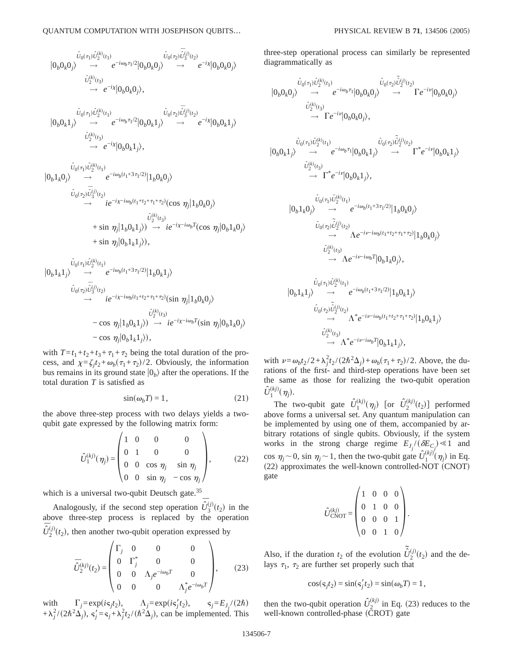$$
\begin{array}{ccc}\n\hat{U}_0(\tau_1)\hat{U}_2^{(k)}(\tau_1) & \hat{U}_0(\tau_2)\overline{\hat{U}}_3^{(j)}(\tau_2) \\
|0_b0_k0_j\rangle & \longrightarrow & e^{-i\omega_b\tau_1/2}|0_b0_k0_j\rangle & \longrightarrow & e^{-i\chi}|0_b0_k0_j\rangle \\
& & \hat{U}_2^{(k)}(\tau_3) & \longrightarrow & e^{-i\chi}|0_b0_k0_j\rangle,\n\end{array}
$$

$$
\begin{array}{ccc} \langle \hat{U}_0(\tau_1)\hat{U}_2^{(k)}(t_1) & \hat{U}_0(\tau_2)\bar{\hat{U}}_3^{(j)}(t_2) \\ |0_b0_k1_j\rangle & \longrightarrow & e^{-i\omega_b\tau_1/2}\big|0_b0_k1_j\rangle & \longrightarrow & e^{-i\chi}\big|0_b0_k1_j\rangle \\ & \hat{U}_2^{(k)}(t_3) & \longrightarrow & e^{-i\chi}\big|0_b0_k1_j\rangle, \end{array}
$$

$$
\langle \hat{U}_0(\tau_1) \hat{U}_2^{(k)}(\tau_1) \rangle
$$
\n
$$
\begin{aligned}\n&\hat{U}_0(\tau_2) \hat{U}_2^{(k)}(\tau_2) \\
&\longrightarrow i e^{-i\omega_b(t_1+3\tau_1/2)} |1_b 0_k 0_j\rangle \\
&\longrightarrow i e^{-i\chi - i\omega_b(t_1+t_2+\tau_1+\tau_2)} (\cos \eta_j | 1_b 0_k 0_j\rangle \\
&+ \sin \eta_j |1_b 0_k 1_j\rangle) \longrightarrow i e^{-i\chi - i\omega_b T} (\cos \eta_j |0_b 1_k 0_j\rangle \\
&+ \sin \eta_j |0_b 1_k 1_j\rangle),\n\end{aligned}
$$

$$
\begin{aligned}\n&\hat{U}_0(\tau_1)\hat{U}_2^{(k)}(\tau_1) \\
&\rightarrow & e^{-i\omega_b(t_1+3\tau_1/2)}|1_b0_k1_j\rangle \\
&\rightarrow & i e^{-i\chi - i\omega_b(t_1+t_2+\tau_1+\tau_2)}(\sin\eta_j|1_b0_k0_j\rangle \\
&\rightarrow & i e^{-i\chi - i\omega_b(t_1+t_2+\tau_1+\tau_2)}(\sin\eta_j|1_b0_k0_j\rangle \\
&\rightarrow & \hat{U}_2^{(k)}(\tau_3) \\
&- \cos\eta_j|1_b0_k1_j\rangle) \rightarrow & i e^{-i\chi - i\omega_b T}(\sin\eta_j|0_b1_k0_j\rangle \\
&- \cos\eta_j|0_b1_k1_j\rangle),\n\end{aligned}
$$

with  $T = t_1 + t_2 + t_3 + \tau_1 + \tau_2$  being the total duration of the process, and  $\chi = \zeta_i t_2 + \omega_b (\tau_1 + \tau_2)/2$ . Obviously, the information bus remains in its ground state  $|0<sub>b</sub>\rangle$  after the operations. If the total duration *T* is satisfied as

$$
\sin(\omega_b T) = 1,\tag{21}
$$

the above three-step process with two delays yields a twoqubit gate expressed by the following matrix form:

$$
\hat{U}_1^{(kj)}(\eta_j) = \begin{pmatrix} 1 & 0 & 0 & 0 \\ 0 & 1 & 0 & 0 \\ 0 & 0 & \cos \eta_j & \sin \eta_j \\ 0 & 0 & \sin \eta_j & -\cos \eta_j \end{pmatrix}, \qquad (22)
$$

which is a universal two-qubit Deutsch gate.<sup>35</sup>

Analogously, if the second step operation  $\overline{\hat{U}}_3^{\text{C}}$  $j_3^{(j)}(t_2)$  in the above three-step process is replaced by the operation  $\overline{\hat{U}}_2^{\text{C}}$  $s_2^{(j)}(t_2)$ , then another two-qubit operation expressed by

$$
\overline{\tilde{U}}_{2}^{(kj)}(t_{2}) = \begin{pmatrix} \Gamma_{j} & 0 & 0 & 0 \\ 0 & \Gamma_{j}^{*} & 0 & 0 \\ 0 & 0 & \Lambda_{j}e^{-i\omega_{b}T} & 0 \\ 0 & 0 & 0 & \Lambda_{j}^{*}e^{-i\omega_{b}T} \end{pmatrix}, \qquad (23)
$$

with  $\Gamma_j = \exp(i\varsigma_j t_2), \qquad \Lambda_j = \exp(i\varsigma_j' t_2), \qquad \varsigma_j = E_{J_j}/(2\hbar)$  $+\lambda_j^2/(2\hbar^2\Delta_j)$ ,  $s'_j = s_j + \lambda_j^2 t_2/(\hbar^2\Delta_j)$ , can be implemented. This three-step operational process can similarly be represented diagrammatically as

$$
\begin{aligned} |\hat{U}_0(\tau_1)\hat{U}_2^{(k)}(t_1) & \xrightarrow{\hat{U}_0(\tau_2)\tilde{\hat{U}}_2^{(j)}(t_2)} |\hat{U}_b\hat{U}_k\hat{U}_2^{(j)}(t_2)| \\ |\hat{U}_2^{(k)}(t_3) & \xrightarrow{\hat{U}_2^{(k)}(t_3)} \mathbf{F}e^{-i\nu}|\hat{U}_b\hat{U}_k\hat{U}_j\rangle, \end{aligned}
$$

$$
\begin{aligned} |\hat{U}_0(\tau_1)\hat{U}_2^{(k)}(t_1) & \xrightarrow{\hat{U}_0(\tau_2)\tilde{\hat{U}}_2^{(j)}(t_2)} |\hat{U}_0(\tau_2)\hat{\hat{U}}_2^{(j)}(t_2)| \\ & \xrightarrow{\hat{U}_2^{(k)}(t_3)} \rightarrow \tilde{\Gamma}^* e^{-i\nu} |0_b 0_k 1_j \rangle, \\ & \xrightarrow{\hat{U}_2^{(k)}(t_3)} \Gamma^* e^{-i\nu} |0_b 0_k 1_j \rangle, \end{aligned}
$$

$$
\langle \hat{U}_0(\tau_1) \hat{U}_2^{(k)}(t_1) \rangle \longrightarrow e^{-i\omega_b(t_1+3\tau_1/2)} |1_b 0_k 0_j \rangle
$$
  
\n
$$
\hat{U}_0(\tau_2) \tilde{\hat{U}}_2^{(j)}(t_2) \longrightarrow \Lambda e^{-i\nu - i\omega_b(t_1+t_2+\tau_1+\tau_2)} |1_b 0_k 0_j \rangle
$$
  
\n
$$
\hat{U}_2^{(k)}(t_3) \longrightarrow \Lambda e^{-i\nu - i\omega_b T} |0_b 1_k 0_j \rangle,
$$

$$
\langle \hat{U}_0(\tau_1) \hat{U}_2^{(k)}(t_1) \rangle \longrightarrow e^{-i\omega_b(t_1 + 3\tau_1/2)} |1_b 0_k 1_j \rangle
$$
  
\n
$$
\hat{U}_0(\tau_2) \hat{U}_2^{(j)}(t_2) \longrightarrow \Lambda^* e^{-i\nu - i\omega_b(t_1 + t_2 + \tau_1 + \tau_2)} |1_b 0_k 1_j \rangle
$$
  
\n
$$
\hat{U}_2^{(k)}(t_3) \longrightarrow \Lambda^* e^{-i\nu - i\omega_b T} |0_b 1_k 1_j \rangle,
$$

with  $\nu = \omega_b t_2 / 2 + \lambda_j^2 t_2 / (2\hbar^2 \Delta_j) + \omega_b (\tau_1 + \tau_2) / 2$ . Above, the durations of the first- and third-step operations have been set the same as those for realizing the two-qubit operation  $\hat{U}_1^0$  $s_1^{(kj)}(\eta_j).$ 

The two-qubit gate  $\hat{U}_1^{(i)}$  $\hat{U}^{(kj)}_1(\eta_j)$  [or  $\hat{U}^{(j)}_2$  $s_2^{(kj)}(t_2)$ ] performed above forms a universal set. Any quantum manipulation can be implemented by using one of them, accompanied by arbitrary rotations of single qubits. Obviously, if the system works in the strong charge regime  $E_{J_j}/(\delta E_{C_j}) \ll 1$  and cos  $\eta_j$  ~ 0, sin  $\eta_j$  ~ 1, then the two-qubit gate  $\hat{U}_1^($  $s_1^{(kj)}(\eta_j)$  in Eq.  $(22)$  approximates the well-known controlled-NOT  $(CNOT)$ gate

$$
\hat{U}_{\text{CNOT}}^{(kj)} = \begin{pmatrix} 1 & 0 & 0 & 0 \\ 0 & 1 & 0 & 0 \\ 0 & 0 & 0 & 1 \\ 0 & 0 & 1 & 0 \end{pmatrix}.
$$

 $\lambda$ 

Also, if the duration  $t_2$  of the evolution  $\tilde{U}_2^{\zeta}$  $s_2^{(j)}(t_2)$  and the delays  $\tau_1$ ,  $\tau_2$  are further set properly such that

$$
\cos(\varsigma_j t_2) = \sin(\varsigma'_j t_2) = \sin(\omega_b T) = 1,
$$

then the two-qubit operation  $\hat{U}_2^{(kj)}$  in Eq. (23) reduces to the well-known controlled-phase  $(\bar{C}ROT)$  gate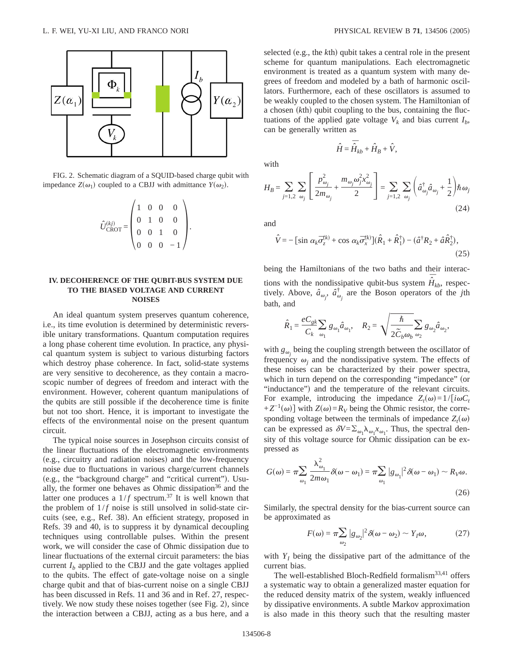

FIG. 2. Schematic diagram of a SQUID-based charge qubit with impedance  $Z(\omega_1)$  coupled to a CBJJ with admittance  $Y(\omega_2)$ .

$$
\hat{U}_{\text{CROT}}^{(kj)} = \begin{pmatrix} 1 & 0 & 0 & 0 \\ 0 & 1 & 0 & 0 \\ 0 & 0 & 1 & 0 \\ 0 & 0 & 0 & -1 \end{pmatrix}.
$$

## **IV. DECOHERENCE OF THE QUBIT-BUS SYSTEM DUE TO THE BIASED VOLTAGE AND CURRENT NOISES**

An ideal quantum system preserves quantum coherence, i.e., its time evolution is determined by deterministic reversible unitary transformations. Quantum computation requires a long phase coherent time evolution. In practice, any physical quantum system is subject to various disturbing factors which destroy phase coherence. In fact, solid-state systems are very sensitive to decoherence, as they contain a macroscopic number of degrees of freedom and interact with the environment. However, coherent quantum manipulations of the qubits are still possible if the decoherence time is finite but not too short. Hence, it is important to investigate the effects of the environmental noise on the present quantum circuit.

The typical noise sources in Josephson circuits consist of the linear fluctuations of the electromagnetic environments (e.g., circuitry and radiation noises) and the low-frequency noise due to fluctuations in various charge/current channels (e.g., the "background charge" and "critical current"). Usually, the former one behaves as Ohmic dissipation<sup>36</sup> and the latter one produces a  $1/f$  spectrum.<sup>37</sup> It is well known that the problem of  $1/f$  noise is still unsolved in solid-state circuits (see, e.g., Ref. 38). An efficient strategy, proposed in Refs. 39 and 40, is to suppress it by dynamical decoupling techniques using controllable pulses. Within the present work, we will consider the case of Ohmic dissipation due to linear fluctuations of the external circuit parameters: the bias current  $I<sub>b</sub>$  applied to the CBJJ and the gate voltages applied to the qubits. The effect of gate-voltage noise on a single charge qubit and that of bias-current noise on a single CBJJ has been discussed in Refs. 11 and 36 and in Ref. 27, respectively. We now study these noises together (see Fig. 2), since the interaction between a CBJJ, acting as a bus here, and a selected (e.g., the *k*th) qubit takes a central role in the present scheme for quantum manipulations. Each electromagnetic environment is treated as a quantum system with many degrees of freedom and modeled by a bath of harmonic oscillators. Furthermore, each of these oscillators is assumed to be weakly coupled to the chosen system. The Hamiltonian of a chosen (kth) qubit coupling to the bus, containing the fluctuations of the applied gate voltage  $V_k$  and bias current  $I_b$ , can be generally written as

with

$$
H_B = \sum_{j=1,2} \sum_{\omega_j} \left[ \frac{p_{\omega_j}^2}{2m_{\omega_j}} + \frac{m_{\omega_j} \omega_j^2 x_{\omega_j}^2}{2} \right] = \sum_{j=1,2} \sum_{\omega_j} \left( \hat{a}_{\omega_j}^\dagger \hat{a}_{\omega_j} + \frac{1}{2} \right) \hbar \omega_j \tag{24}
$$

 $\hat{H} = \overline{\hat{H}}_{kb} + \hat{H}_B + \hat{V}$ ,

and

$$
\hat{V} = -\left[\sin \alpha_k \bar{\sigma}_z^{(k)} + \cos \alpha_k \bar{\sigma}_x^{(k)}\right] (\hat{R}_1 + \hat{R}_1^{\dagger}) - (\hat{a}^{\dagger} R_2 + \hat{a} \hat{R}_2^{\dagger}),\tag{25}
$$

being the Hamiltonians of the two baths and their interactions with the nondissipative qubit-bus system  $\overline{\hat{H}}_{kb}$ , respectively. Above,  $\hat{a}_{\omega_j}$ ,  $\hat{a}_{\omega_j}^{\dagger}$  are the Boson operators of the *j*th bath, and

$$
\hat{R}_1 = \frac{eC_{gk}}{C_k} \sum_{\omega_1} g_{\omega_1} \hat{a}_{\omega_1}, \quad R_2 = \sqrt{\frac{\hbar}{2\tilde{C}_b \omega_b}} \sum_{\omega_2} g_{\omega_2} \hat{a}_{\omega_2},
$$

with  $g_{\omega_j}$  being the coupling strength between the oscillator of frequency  $\omega_i$  and the nondissipative system. The effects of these noises can be characterized by their power spectra, which in turn depend on the corresponding "impedance" (or "inductance") and the temperature of the relevant circuits. For example, introducing the impedance  $Z_t(\omega) = 1/[i\omega C_t$  $+Z^{-1}(\omega)$  with  $Z(\omega)=R_V$  being the Ohmic resistor, the corresponding voltage between the terminals of impedance  $Z_t(\omega)$ can be expressed as  $\delta V = \sum_{\omega_1} \lambda_{\omega_1} x_{\omega_1}$ . Thus, the spectral density of this voltage source for Ohmic dissipation can be expressed as

$$
G(\omega) = \pi \sum_{\omega_1} \frac{\lambda_{\omega_1}^2}{2m\omega_1} \delta(\omega - \omega_1) = \pi \sum_{\omega_1} |g_{\omega_1}|^2 \delta(\omega - \omega_1) \sim R_V \omega.
$$
\n(26)

Similarly, the spectral density for the bias-current source can be approximated as

$$
F(\omega) = \pi \sum_{\omega_2} |g_{\omega_2}|^2 \delta(\omega - \omega_2) \sim Y_I \omega,
$$
 (27)

with  $Y_I$  being the dissipative part of the admittance of the current bias.

The well-established Bloch-Redfield formalism<sup>33,41</sup> offers a systematic way to obtain a generalized master equation for the reduced density matrix of the system, weakly influenced by dissipative environments. A subtle Markov approximation is also made in this theory such that the resulting master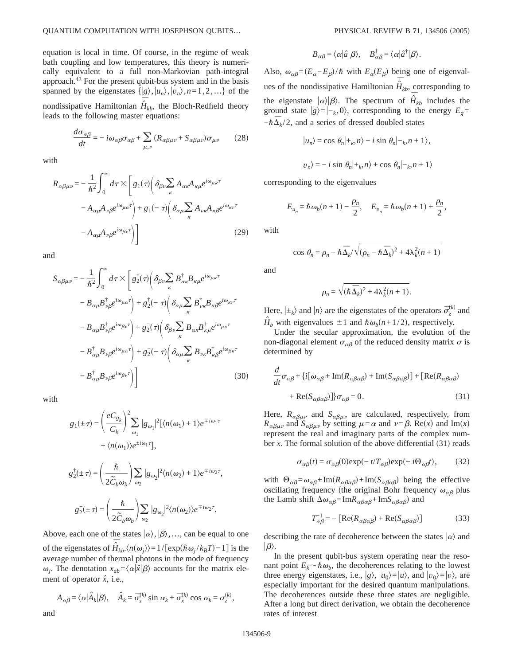equation is local in time. Of course, in the regime of weak bath coupling and low temperatures, this theory is numerically equivalent to a full non-Markovian path-integral approach.<sup>42</sup> For the present qubit-bus system and in the basis spanned by the eigenstates  $\{ |g\rangle, |u_n\rangle, |v_n\rangle, n=1,2,...\}$  of the nondissipative Hamiltonian  $\overline{\hat{H}}_{kb}$ , the Bloch-Redfield theory leads to the following master equations:

$$
\frac{d\sigma_{\alpha\beta}}{dt} = -i\omega_{\alpha\beta}\sigma_{\alpha\beta} + \sum_{\mu,\nu} (R_{\alpha\beta\mu\nu} + S_{\alpha\beta\mu\nu})\sigma_{\mu\nu} \qquad (28)
$$

with

$$
R_{\alpha\beta\mu\nu} = -\frac{1}{\hbar^2} \int_0^{\infty} d\tau \times \left[ g_1(\tau) \left( \delta_{\beta\nu} \sum_{\kappa} A_{\alpha\kappa} A_{\kappa\mu} e^{i\omega_{\mu\kappa}\tau} - A_{\alpha\mu} A_{\nu\beta} e^{i\omega_{\mu\alpha}\tau} \right) + g_1(-\tau) \left( \delta_{\alpha\mu} \sum_{\kappa} A_{\nu\kappa} A_{\kappa\beta} e^{i\omega_{\kappa\nu}\tau} - A_{\alpha\mu} A_{\nu\beta} e^{i\omega_{\beta\nu}\tau} \right) \right]
$$
(29)

and

$$
S_{\alpha\beta\mu\nu} = -\frac{1}{\hbar^2} \int_0^{\infty} d\tau \times \left[ g_2^{\dagger}(\tau) \left( \delta_{\beta\nu} \sum_{\kappa} B^{\dagger}_{\alpha\kappa} B_{\kappa\mu} e^{i\omega_{\mu\kappa}\tau} \right. \right.\left. - B_{\alpha\mu} B^{\dagger}_{\nu\beta} e^{i\omega_{\mu\alpha}\tau} \right) + g_2^{\dagger} (-\tau) \left( \delta_{\alpha\mu} \sum_{\kappa} B^{\dagger}_{\nu\kappa} B_{\kappa\beta} e^{i\omega_{\kappa\nu}\tau} \right.\left. - B_{\alpha\mu} B^{\dagger}_{\nu\beta} e^{i\omega_{\beta\nu}\tau} \right) + g_2^{\dagger} (\tau) \left( \delta_{\beta\nu} \sum_{\kappa} B_{\alpha\kappa} B^{\dagger}_{\kappa\mu} e^{i\omega_{\mu\kappa}\tau} \right.\left. - B^{\dagger}_{\alpha\mu} B_{\nu\beta} e^{i\omega_{\mu\alpha}\tau} \right) + g_2^{\dagger} (-\tau) \left( \delta_{\alpha\mu} \sum_{\kappa} B_{\nu\kappa} B^{\dagger}_{\kappa\beta} e^{i\omega_{\beta\kappa}\tau} \right.\left. - B^{\dagger}_{\alpha\mu} B_{\nu\beta} e^{i\omega_{\beta\nu}\tau} \right) \right]
$$
(30)

with

$$
g_1(\pm \tau) = \left(\frac{eC_{g_k}}{C_k}\right)^2 \sum_{\omega_1} |g_{\omega_1}|^2 [\langle n(\omega_1) + 1 \rangle e^{\mp i\omega_1 \tau} + \langle n(\omega_1) \rangle e^{\pm i\omega_1 \tau}],
$$
  

$$
g_2^{\dagger}(\pm \tau) = \left(\frac{\hbar}{2\tilde{C}_b \omega_b} \right) \sum_{\omega_2} |g_{\omega_2}|^2 \langle n(\omega_2) + 1 \rangle e^{\mp i\omega_2 \tau},
$$
  

$$
g_2^{\dagger}(\pm \tau) = \left(\frac{\hbar}{2\tilde{C}_b \omega_b} \right) \sum_{\omega_2} |g_{\omega_2}|^2 \langle n(\omega_2) \rangle e^{\mp i\omega_2 \tau}.
$$

Above, each one of the states  $|\alpha\rangle, |\beta\rangle, \dots$ , can be equal to one of the eigenstates of  $\overline{H}_{kb}$ , $\langle n(\omega_j) \rangle = 1/[\exp(\hbar \omega_j/k_B T) - 1]$  is the average number of thermal photons in the mode of frequency  $\omega_i$ . The denotation  $x_{ab} = \langle \alpha | \hat{x} | \beta \rangle$  accounts for the matrix element of operator  $\hat{x}$ , i.e.,

$$
A_{\alpha\beta} = \langle \alpha | \hat{A}_k | \beta \rangle
$$
,  $\hat{A}_k = \overline{\sigma}_z^{(k)} \sin \alpha_k + \overline{\sigma}_x^{(k)} \cos \alpha_k = \sigma_z^{(k)}$ ,  
and

$$
B_{\alpha\beta} = \langle \alpha | \hat{a} | \beta \rangle, \quad B_{\alpha\beta}^{\dagger} = \langle \alpha | \hat{a}^{\dagger} | \beta \rangle.
$$

Also,  $\omega_{\alpha\beta} = (E_{\alpha} - E_{\beta})/\hbar$  with  $E_{\alpha}(E_{\beta})$  being one of eigenvalues of the nondissipative Hamiltonian  $\overline{H}_{kb}$ , corresponding to the eigenstate  $|\alpha\rangle|\beta\rangle$ . The spectrum of  $\overline{\hat{H}}_{kb}$  includes the ground state  $|g\rangle = |-\kappa, 0\rangle$ , corresponding to the energy  $E_g$ =  $-\hbar\bar{\Delta}_k/2$ , and a series of dressed doubled states

$$
|u_n\rangle = \cos \theta_n |+_k, n\rangle - i \sin \theta_n |_{-k}, n + 1\rangle,
$$
  
 $|v_n\rangle = -i \sin \theta_n |_{-k}, n\rangle + \cos \theta_n |_{-k}, n + 1\rangle$ 

corresponding to the eigenvalues

$$
E_{u_n} = \hbar \omega_b(n+1) - \frac{\rho_n}{2}, \quad E_{v_n} = \hbar \omega_b(n+1) + \frac{\rho_n}{2},
$$

with

$$
\cos \theta_n = \rho_n - \hbar \,\overline{\Delta}_{k} / \sqrt{(\rho_n - \hbar \,\overline{\Delta}_{k})^2 + 4\lambda_k^2 (n+1)}
$$

and

$$
\rho_n = \sqrt{(\hbar \,\overline{\Delta}_k)^2 + 4\lambda_k^2(n+1)}.
$$

Here,  $|\pm_k\rangle$  and  $|n\rangle$  are the eigenstates of the operators  $\bar{\sigma}_z^{(k)}$  and  $\hat{H}_b$  with eigenvalues  $\pm 1$  and  $\hbar \omega_b(n+1/2)$ , respectively.

Under the secular approximation, the evolution of the non-diagonal element  $\sigma_{\alpha\beta}$  of the reduced density matrix  $\sigma$  is determined by

$$
\frac{d}{dt}\sigma_{\alpha\beta} + \{i[\omega_{\alpha\beta} + \text{Im}(R_{\alpha\beta\alpha\beta}) + \text{Im}(S_{\alpha\beta\alpha\beta})] + [\text{Re}(R_{\alpha\beta\alpha\beta}) + \text{Re}(S_{\alpha\beta\alpha\beta})]\}\sigma_{\alpha\beta} = 0.
$$
\n(31)

Here,  $R_{\alpha\beta\mu\nu}$  and  $S_{\alpha\beta\mu\nu}$  are calculated, respectively, from  $R_{\alpha\beta\mu\nu}$  and  $S_{\alpha\beta\mu\nu}$  by setting  $\mu = \alpha$  and  $\nu = \beta$ . Re $(x)$  and Im $(x)$ represent the real and imaginary parts of the complex number  $x$ . The formal solution of the above differential  $(31)$  reads

$$
\sigma_{\alpha\beta}(t) = \sigma_{\alpha\beta}(0) \exp(-t/T_{\alpha\beta}) \exp(-i\Theta_{\alpha\beta}t), \quad (32)
$$

with  $\Theta_{\alpha\beta} = \omega_{\alpha\beta} + \text{Im}(R_{\alpha\beta\alpha\beta}) + \text{Im}(S_{\alpha\beta\alpha\beta})$  being the effective oscillating frequency (the original Bohr frequency  $\omega_{\alpha\beta}$  plus the Lamb shift  $\Delta \omega_{\alpha\beta} = ImR_{\alpha\beta\alpha\beta} + ImS_{\alpha\beta\alpha\beta}$  and

$$
T_{\alpha\beta}^{-1} = -\left[ \text{Re}(R_{\alpha\beta\alpha\beta}) + \text{Re}(S_{\alpha\beta\alpha\beta}) \right]
$$
 (33)

describing the rate of decoherence between the states  $|\alpha\rangle$  and  $|\beta\rangle$ .

In the present qubit-bus system operating near the resonant point  $E_k \sim \hbar \omega_h$ , the decoherences relating to the lowest three energy eigenstates, i.e.,  $|g\rangle$ ,  $|u_0\rangle = |u\rangle$ , and  $|v_0\rangle = |v\rangle$ , are especially important for the desired quantum manipulations. The decoherences outside these three states are negligible. After a long but direct derivation, we obtain the decoherence rates of interest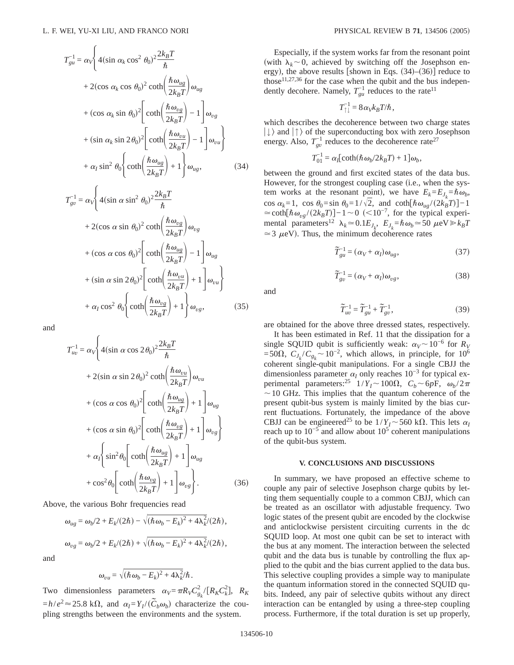$$
T_{gu}^{-1} = \alpha_V \Bigg\{ 4(\sin \alpha_k \cos^2 \theta_0)^2 \frac{2k_B T}{\hbar} + 2(\cos \alpha_k \cos \theta_0)^2 \coth \Bigg( \frac{\hbar \omega_{ug}}{2k_B T} \Bigg) \omega_{ug} + (\cos \alpha_k \sin \theta_0)^2 \Bigg[ \coth \Bigg( \frac{\hbar \omega_{ug}}{2k_B T} \Bigg) - 1 \Bigg] \omega_{vg} + (\sin \alpha_k \sin 2\theta_0)^2 \Bigg[ \coth \Bigg( \frac{\hbar \omega_{vu}}{2k_B T} \Bigg) - 1 \Bigg] \omega_{uu} \Bigg\} + \alpha_I \sin^2 \theta_0 \Bigg\{ \coth \Bigg( \frac{\hbar \omega_{ug}}{2k_B T} \Bigg) + 1 \Bigg\} \omega_{ug}, \tag{34}
$$

$$
T_{gv}^{-1} = \alpha_V \Bigg\{ 4(\sin \alpha \sin^2 \theta_0)^2 \frac{2k_B T}{\hbar} + 2(\cos \alpha \sin \theta_0)^2 \coth \Bigg( \frac{\hbar \omega_{vg}}{2k_B T} \Bigg) \omega_{vg} + (\cos \alpha \cos \theta_0)^2 \Bigg[ \coth \Bigg( \frac{\hbar \omega_{ug}}{2k_B T} \Bigg) - 1 \Bigg] \omega_{ug} + (\sin \alpha \sin 2\theta_0)^2 \Bigg[ \coth \Big( \frac{\hbar \omega_{uu}}{2k_B T} \Bigg) + 1 \Bigg] \omega_{vu} \Bigg\} + \alpha_I \cos^2 \theta_0 \Bigg\{ \coth \Bigg( \frac{\hbar \omega_{vg}}{2k_B T} \Bigg) + 1 \Bigg\} \omega_{vg},
$$
(35)

and

$$
T_{uv}^{-1} = \alpha_V \Bigg\{ 4(\sin \alpha \cos 2\theta_0)^2 \frac{2k_B T}{\hbar} + 2(\sin \alpha \sin 2\theta_0)^2 \coth \Bigg( \frac{\hbar \omega_{vu}}{2k_B T} \Bigg) \omega_{vu} + (\cos \alpha \cos \theta_0)^2 \Bigg[ \coth \Bigg( \frac{\hbar \omega_{ug}}{2k_B T} \Bigg) + 1 \Bigg] \omega_{ug} + (\cos \alpha \sin \theta_0)^2 \Bigg[ \coth \Bigg( \frac{\hbar \omega_{ug}}{2k_B T} \Bigg) + 1 \Bigg] \omega_{vg} + \alpha_I \Bigg\{ \sin^2 \theta_0 \Bigg[ \coth \Big( \frac{\hbar \omega_{ug}}{2k_B T} \Bigg) + 1 \Bigg] \omega_{ug} + \cos^2 \theta_0 \Bigg[ \coth \Big( \frac{\hbar \omega_{ug}}{2k_B T} \Bigg) + 1 \Bigg] \omega_{vg} \Bigg\}.
$$
 (36)

Above, the various Bohr frequencies read

$$
\omega_{ug} = \omega_b/2 + E_k/(2\hbar) - \sqrt{(\hbar \omega_b - E_k)^2 + 4\lambda_k^2}/(2\hbar),
$$
  

$$
\omega_{vg} = \omega_b/2 + E_k/(2\hbar) + \sqrt{(\hbar \omega_b - E_k)^2 + 4\lambda_k^2}/(2\hbar),
$$

and

$$
\omega_{vu} = \sqrt{(\hbar \omega_b - E_k)^2 + 4\lambda_k^2/\hbar}.
$$

Two dimensionless parameters  $\alpha_V = \pi R_V C_{g_k}^2 / [R_K C_k^2]$ ,  $R_K$  $=h/e^2 \approx 25.8 \text{ k}\Omega$ , and  $\alpha_I = Y_I/(\tilde{C}_b \omega_b)$  characterize the coupling strengths between the environments and the system.

Especially, if the system works far from the resonant point (with  $\lambda_k$  ~ 0, achieved by switching off the Josephson energy), the above results [shown in Eqs.  $(34)–(36)$ ] reduce to those $11,27,36$  for the case when the qubit and the bus independently decohere. Namely,  $T_{gu}^{-1}$  reduces to the rate<sup>11</sup>

$$
T_{\uparrow\downarrow}^{-1} = 8 \alpha_V k_B T / \hbar,
$$

which describes the decoherence between two charge states  $|\downarrow\rangle$  and  $|\uparrow\rangle$  of the superconducting box with zero Josephson energy. Also,  $T_{gv}^{-1}$  reduces to the decoherence rate<sup>27</sup>

$$
T_{01}^{-1} = \alpha_I [\coth(\hbar \omega_b/2k_B T) + 1] \omega_b,
$$

between the ground and first excited states of the data bus. However, for the strongest coupling case (i.e., when the system works at the resonant point), we have  $E_k = E_j - \hbar \omega_b$ , cos  $\alpha_k = 1$ , cos  $\theta_0 = \sin \theta_0 = 1/\sqrt{2}$ , and coth $[\hbar \omega_{ug}/(2k_BT)]-1$  $\approx$  coth[ $\hbar \omega_{vg}$ /(2k<sub>B</sub>T)]-1 ~ 0 (<10<sup>-7</sup>, for the typical experimental parameters<sup>12</sup>  $\lambda_k \approx 0.1 E_{J_k}$ ,  $E_{J_k} = \hbar \omega_b \approx 50 \ \mu \text{eV} \ge k_B T$  $\approx$  3  $\mu$ eV). Thus, the minimum decoherence rates

$$
\widetilde{T}_{gu}^{-1} = (\alpha_V + \alpha_I)\omega_{ug},\tag{37}
$$

$$
\widetilde{T}_{gv}^{-1} = (\alpha_V + \alpha_I) \omega_{vg}, \qquad (38)
$$

and

$$
\widetilde{T}_{uv}^{-1} = \widetilde{T}_{gu}^{-1} + \widetilde{T}_{gv}^{-1},\tag{39}
$$

are obtained for the above three dressed states, respectively.

It has been estimated in Ref. 11 that the dissipation for a single SQUID qubit is sufficiently weak:  $\alpha_V \sim 10^{-6}$  for  $R_V$  $=50\Omega$ ,  $C_{J_k}/C_{g_k} \sim 10^{-2}$ , which allows, in principle, for  $10^6$ coherent single-qubit manipulations. For a single CBJJ the dimensionless parameter  $\alpha$ <sup>*I*</sup> only reaches 10<sup>-3</sup> for typical experimental parameters:<sup>25</sup>  $1/Y_I \sim 100\Omega$ ,  $C_b \sim 6p$ F,  $\omega_b/2\pi$  $\sim$  10 GHz. This implies that the quantum coherence of the present qubit-bus system is mainly limited by the bias current fluctuations. Fortunately, the impedance of the above CBJJ can be engineered<sup>25</sup> to be  $1/Y_I \sim 560 \text{ k}\Omega$ . This lets  $\alpha_I$ reach up to  $10^{-5}$  and allow about  $10^{5}$  coherent manipulations of the qubit-bus system.

### **V. CONCLUSIONS AND DISCUSSIONS**

In summary, we have proposed an effective scheme to couple any pair of selective Josephson charge qubits by letting them sequentially couple to a common CBJJ, which can be treated as an oscillator with adjustable frequency. Two logic states of the present qubit are encoded by the clockwise and anticlockwise persistent circuiting currents in the dc SQUID loop. At most one qubit can be set to interact with the bus at any moment. The interaction between the selected qubit and the data bus is tunable by controlling the flux applied to the qubit and the bias current applied to the data bus. This selective coupling provides a simple way to manipulate the quantum information stored in the connected SQUID qubits. Indeed, any pair of selective qubits without any direct interaction can be entangled by using a three-step coupling process. Furthermore, if the total duration is set up properly,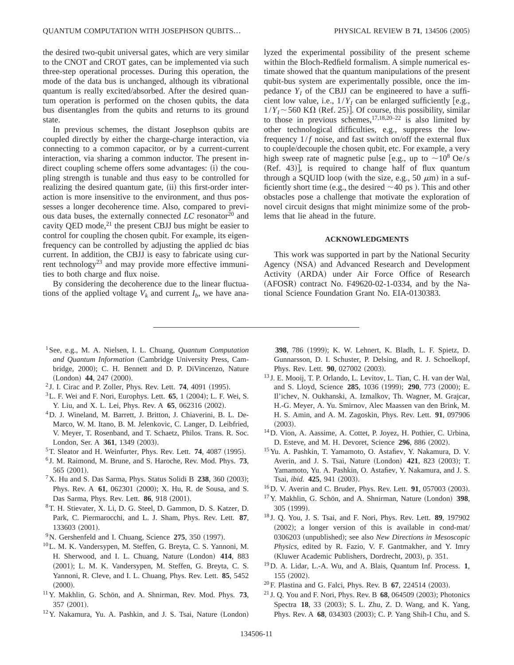the desired two-qubit universal gates, which are very similar to the CNOT and CROT gates, can be implemented via such three-step operational processes. During this operation, the mode of the data bus is unchanged, although its vibrational quantum is really excited/absorbed. After the desired quantum operation is performed on the chosen qubits, the data bus disentangles from the qubits and returns to its ground state.

In previous schemes, the distant Josephson qubits are coupled directly by either the charge-charge interaction, via connecting to a common capacitor, or by a current-current interaction, via sharing a common inductor. The present indirect coupling scheme offers some advantages: (i) the coupling strength is tunable and thus easy to be controlled for realizing the desired quantum gate, (ii) this first-order interaction is more insensitive to the environment, and thus possesses a longer decoherence time. Also, compared to previous data buses, the externally connected *LC* resonator<sup>20</sup> and cavity QED mode, $^{21}$  the present CBJJ bus might be easier to control for coupling the chosen qubit. For example, its eigenfrequency can be controlled by adjusting the applied dc bias current. In addition, the CBJJ is easy to fabricate using current technology<sup>23</sup> and may provide more effective immunities to both charge and flux noise.

By considering the decoherence due to the linear fluctuations of the applied voltage  $V_k$  and current  $I_b$ , we have analyzed the experimental possibility of the present scheme within the Bloch-Redfield formalism. A simple numerical estimate showed that the quantum manipulations of the present qubit-bus system are experimentally possible, once the impedance  $Y_I$  of the CBJJ can be engineered to have a sufficient low value, i.e.,  $1/Y_I$  can be enlarged sufficiently [e.g.,  $1/Y_I \sim 560 \text{ K}\Omega$  (Ref. 25)]. Of course, this possibility, similar to those in previous schemes,  $17,18,20-22$  is also limited by other technological difficulties, e.g., suppress the lowfrequency  $1/f$  noise, and fast switch on/off the external flux to couple/decouple the chosen qubit, etc. For example, a very high sweep rate of magnetic pulse [e.g., up to  $\sim 10^8$  Oe/s  $(Ref. 43)$ ], is required to change half of flux quantum through a SQUID loop (with the size, e.g., 50  $\mu$ m) in a sufficiently short time (e.g., the desired  $\sim$ 40 ps). This and other obstacles pose a challenge that motivate the exploration of novel circuit designs that might minimize some of the problems that lie ahead in the future.

## **ACKNOWLEDGMENTS**

This work was supported in part by the National Security Agency (NSA) and Advanced Research and Development Activity (ARDA) under Air Force Office of Research  $(AFOSR)$  contract No. F49620-02-1-0334, and by the National Science Foundation Grant No. EIA-0130383.

- 1See, e.g., M. A. Nielsen, I. L. Chuang, *Quantum Computation* and Quantum Information (Cambridge University Press, Cambridge, 2000); C. H. Bennett and D. P. DiVincenzo, Nature (London) 44, 247 (2000).
- $2$  J. I. Cirac and P. Zoller, Phys. Rev. Lett. **74**, 4091 (1995).
- ${}^{3}$ L. F. Wei and F. Nori, Europhys. Lett. **65**, 1 (2004); L. F. Wei, S. Y. Liu, and X. L. Lei, Phys. Rev. A **65**, 062316 (2002).
- 4D. J. Wineland, M. Barrett, J. Britton, J. Chiaverini, B. L. De-Marco, W. M. Itano, B. M. Jelenkovic, C. Langer, D. Leibfried, V. Meyer, T. Rosenband, and T. Schaetz, Philos. Trans. R. Soc. London, Ser. A 361, 1349 (2003).
- <sup>5</sup>T. Sleator and H. Weinfurter, Phys. Rev. Lett. **74**, 4087 (1995).
- <sup>6</sup> J. M. Raimond, M. Brune, and S. Haroche, Rev. Mod. Phys. **73**, 565 (2001).
- $7X$ . Hu and S. Das Sarma, Phys. Status Solidi B 238, 360 (2003); Phys. Rev. A **61**, 062301 (2000); X. Hu, R. de Sousa, and S. Das Sarma, Phys. Rev. Lett. **86**, 918 (2001).
- 8T. H. Stievater, X. Li, D. G. Steel, D. Gammon, D. S. Katzer, D. Park, C. Piermarocchi, and L. J. Sham, Phys. Rev. Lett. **87**, 133603 (2001).
- <sup>9</sup>N. Gershenfeld and I. Chuang, Science 275, 350 (1997).
- 10L. M. K. Vandersypen, M. Steffen, G. Breyta, C. S. Yannoni, M. H. Sherwood, and I. L. Chuang, Nature (London) 414, 883 (2001); L. M. K. Vandersypen, M. Steffen, G. Breyta, C. S. Yannoni, R. Cleve, and I. L. Chuang, Phys. Rev. Lett. **85**, 5452  $(2000).$
- 11Y. Makhlin, G. Schön, and A. Shnirman, Rev. Mod. Phys. **73**, 357 (2001).
- $12$ Y. Nakamura, Yu. A. Pashkin, and J. S. Tsai, Nature (London)

398, 786 (1999); K. W. Lehnert, K. Bladh, L. F. Spietz, D. Gunnarsson, D. I. Schuster, P. Delsing, and R. J. Schoelkopf, Phys. Rev. Lett. 90, 027002 (2003).

- <sup>13</sup> J. E. Mooij, T. P. Orlando, L. Levitov, L. Tian, C. H. van der Wal, and S. Lloyd, Science 285, 1036 (1999); 290, 773 (2000); E. Il'ichev, N. Oukhanski, A. Izmalkov, Th. Wagner, M. Grajcar, H.-G. Meyer, A. Yu. Smirnov, Alec Maassen van den Brink, M. H. S. Amin, and A. M. Zagoskin, Phys. Rev. Lett. **91**, 097906  $(2003).$
- 14D. Vion, A. Aassime, A. Cottet, P. Joyez, H. Pothier, C. Urbina, D. Esteve, and M. H. Devoret, Science 296, 886 (2002).
- 15Yu. A. Pashkin, T. Yamamoto, O. Astafiev, Y. Nakamura, D. V. Averin, and J. S. Tsai, Nature (London) 421, 823 (2003); T. Yamamoto, Yu. A. Pashkin, O. Astafiev, Y. Nakamura, and J. S. Tsai, *ibid.* 425, 941 (2003).
- <sup>16</sup>D. V. Averin and C. Bruder, Phys. Rev. Lett. **91**, 057003 (2003).
- <sup>17</sup>Y. Makhlin, G. Schön, and A. Shnirman, Nature (London) 398, 305 (1999).
- <sup>18</sup> J. Q. You, J. S. Tsai, and F. Nori, Phys. Rev. Lett. **89**, 197902  $(2002)$ ; a longer version of this is available in cond-mat/ 0306203 (unpublished); see also *New Directions in Mesoscopic Physics*, edited by R. Fazio, V. F. Gantmakher, and Y. Imry (Kluwer Academic Publishers, Dordrecht, 2003), p. 351.
- 19D. A. Lidar, L.-A. Wu, and A. Blais, Quantum Inf. Process. **1**,  $155 (2002).$
- <sup>20</sup>F. Plastina and G. Falci, Phys. Rev. B **67**, 224514 (2003).
- <sup>21</sup> J. Q. You and F. Nori, Phys. Rev. B  $68$ , 064509 (2003); Photonics Spectra 18, 33 (2003); S. L. Zhu, Z. D. Wang, and K. Yang, Phys. Rev. A 68, 034303 (2003); C. P. Yang Shih-I Chu, and S.